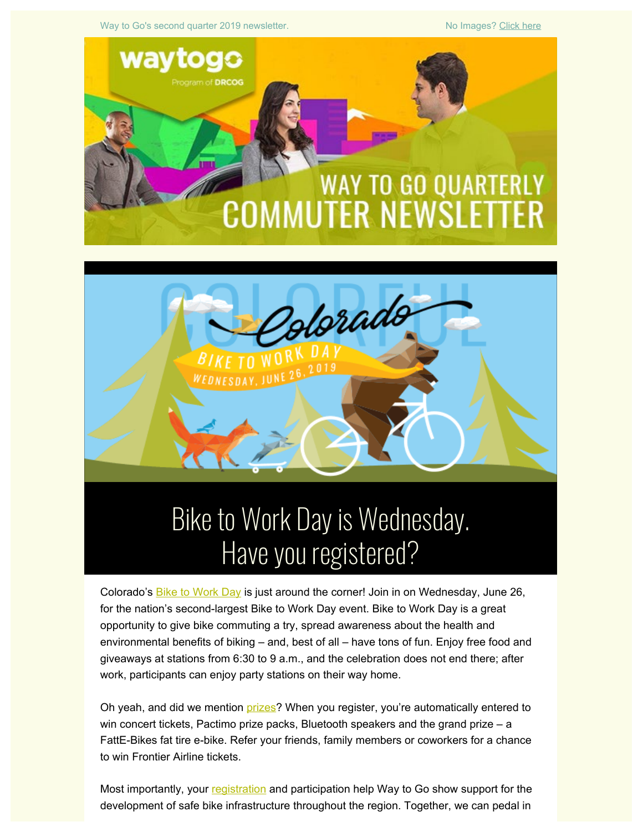Way to Go's second quarter 2019 newsletter. No Images? [Click here](https://drcog.createsend1.com/t/d-e-pdujkjk-l-jk/)





# Have you registered?

Colorado's **Bike to Work Day** is just around the corner! Join in on Wednesday, June 26, for the nation's second-largest Bike to Work Day event. Bike to Work Day is a great opportunity to give bike commuting a try, spread awareness about the health and environmental benefits of biking – and, best of all – have tons of fun. Enjoy free food and giveaways at stations from 6:30 to 9 a.m., and the celebration does not end there; after work, participants can enjoy party stations on their way home.

Oh yeah, and did we mention [prizes](https://drcog.createsend1.com/t/d-l-pdujkjk-l-t/)? When you register, you're automatically entered to win concert tickets, Pactimo prize packs, Bluetooth speakers and the grand prize – a FattE-Bikes fat tire e-bike. Refer your friends, family members or coworkers for a chance to win Frontier Airline tickets.

Most importantly, your [registration](https://drcog.createsend1.com/t/d-l-pdujkjk-l-i/) and participation help Way to Go show support for the development of safe bike infrastructure throughout the region. Together, we can pedal in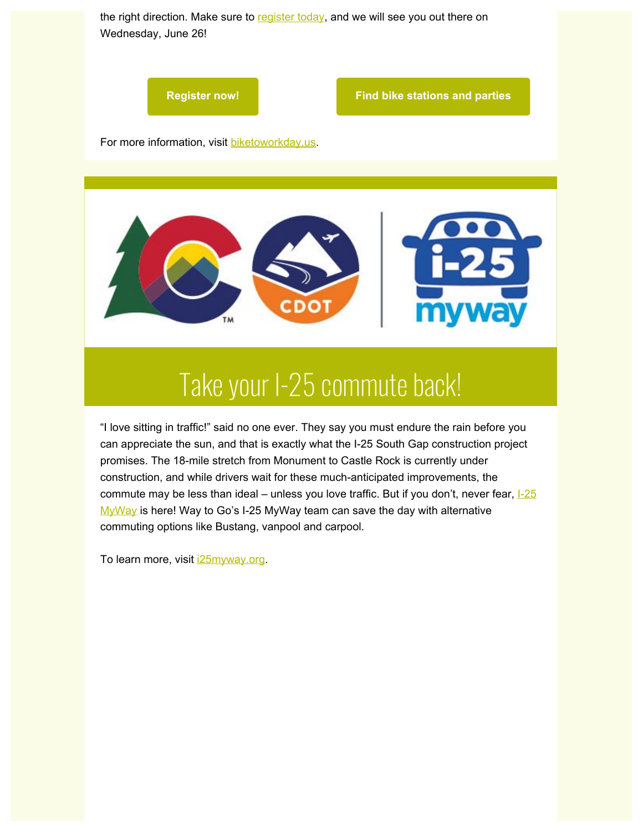



**[Register now!](https://drcog.createsend1.com/t/d-l-pdujkjk-l-h/) [Find bike stations and parties](https://drcog.createsend1.com/t/d-l-pdujkjk-l-k/)**

For more information, visit [biketoworkday.us](https://drcog.createsend1.com/t/d-l-pdujkjk-l-u/).



### Take your I-25 commute back!

"I love sitting in traffic!" said no one ever. They say you must endure the rain before you can appreciate the sun, and that is exactly what the I-25 South Gap construction project promises. The 18-mile stretch from Monument to Castle Rock is currently under construction, and while drivers wait for these much-anticipated improvements, the commute may be less than ideal – unless you love traffic. But if you don't, never fear,  $1-25$ [MyWay](https://drcog.createsend1.com/t/d-l-pdujkjk-l-m/) is here! Way to Go's I-25 MyWay team can save the day with alternative commuting options like Bustang, vanpool and carpool.

To learn more, visit **25myway.org**.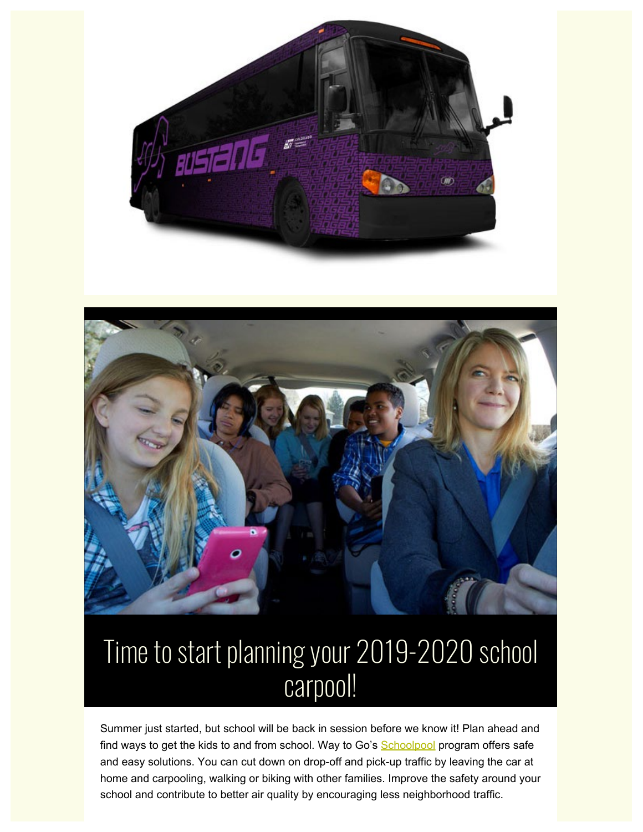



### Time to start planning your 2019-2020 school carpool!

Summer just started, but school will be back in session before we know it! Plan ahead and find ways to get the kids to and from school. Way to Go's **Schoolpool** program offers safe and easy solutions. You can cut down on drop-off and pick-up traffic by leaving the car at home and carpooling, walking or biking with other families. Improve the safety around your school and contribute to better air quality by encouraging less neighborhood traffic.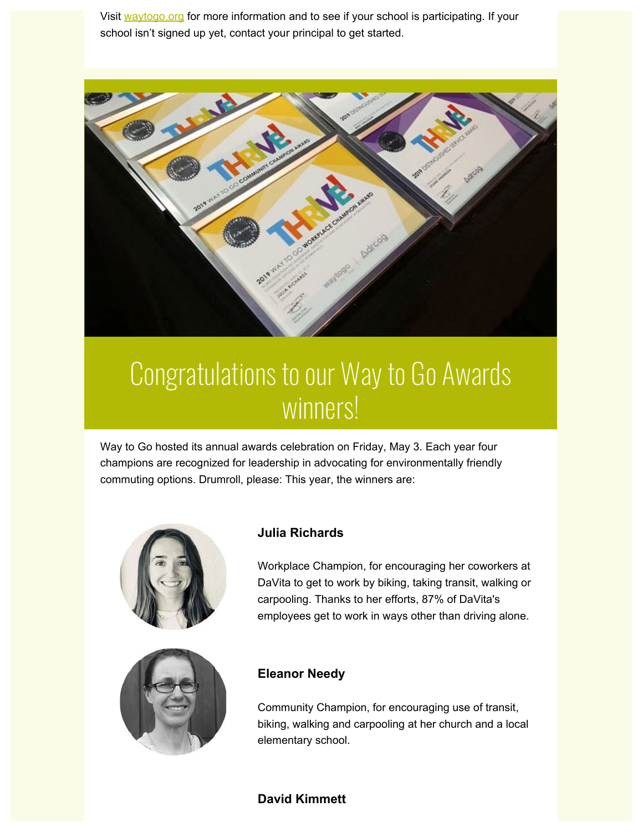Visit [waytogo.org](https://drcog.createsend1.com/t/d-l-pdujkjk-l-v/) for more information and to see if your school is participating. If your school isn't signed up yet, contact your principal to get started.



### Congratulations to our Way to Go Awards winners!

Way to Go hosted its annual awards celebration on Friday, May 3. Each year four champions are recognized for leadership in advocating for environmentally friendly commuting options. Drumroll, please: This year, the winners are:





#### **Julia Richards**

Workplace Champion, for encouraging her coworkers at DaVita to get to work by biking, taking transit, walking or carpooling. Thanks to her efforts, 87% of DaVita's employees get to work in ways other than driving alone.

#### **Eleanor Needy**

Community Champion, for encouraging use of transit, biking, walking and carpooling at her church and a local elementary school.

#### **David Kimmett**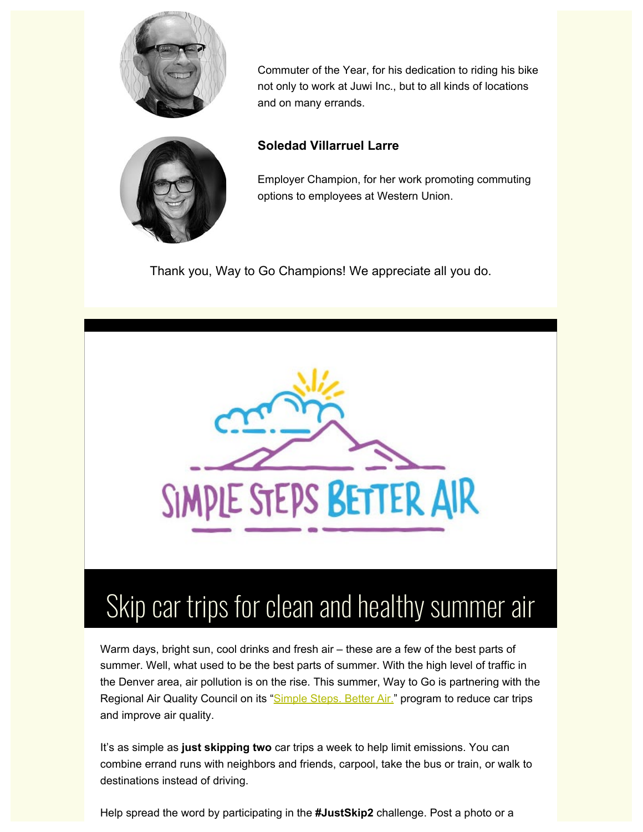

Commuter of the Year, for his dedication to riding his bike not only to work at Juwi Inc., but to all kinds of locations and on many errands.



### **Soledad Villarruel Larre**

Employer Champion, for her work promoting commuting options to employees at Western Union.

Thank you, Way to Go Champions! We appreciate all you do.



## Skip car trips for clean and healthy summer air

Warm days, bright sun, cool drinks and fresh air – these are a few of the best parts of summer. Well, what used to be the best parts of summer. With the high level of traffic in the Denver area, air pollution is on the rise. This summer, Way to Go is partnering with the Regional Air Quality Council on its "[Simple Steps. Better Air.](https://drcog.createsend1.com/t/d-l-pdujkjk-l-s/)" program to reduce car trips and improve air quality.

It's as simple as **just skipping two** car trips a week to help limit emissions. You can combine errand runs with neighbors and friends, carpool, take the bus or train, or walk to destinations instead of driving.

Help spread the word by participating in the **#JustSkip2** challenge. Post a photo or a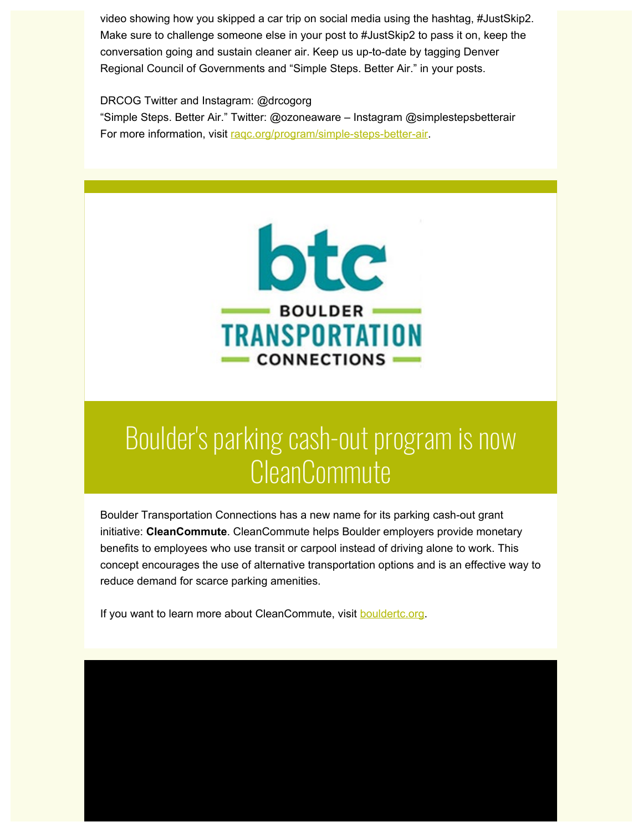video showing how you skipped a car trip on social media using the hashtag, #JustSkip2. Make sure to challenge someone else in your post to #JustSkip2 to pass it on, keep the conversation going and sustain cleaner air. Keep us up-to-date by tagging Denver Regional Council of Governments and "Simple Steps. Better Air." in your posts.

DRCOG Twitter and Instagram: @drcogorg

"Simple Steps. Better Air." Twitter: @ozoneaware – Instagram @simplestepsbetterair For more information, visit rage.org/program/simple-steps-better-air.



### Boulder's parking cash-out program is now **CleanCommute**

Boulder Transportation Connections has a new name for its parking cash-out grant initiative: **CleanCommute**. CleanCommute helps Boulder employers provide monetary benefits to employees who use transit or carpool instead of driving alone to work. This concept encourages the use of alternative transportation options and is an effective way to reduce demand for scarce parking amenities.

If you want to learn more about CleanCommute, visit **bouldertc.org**.